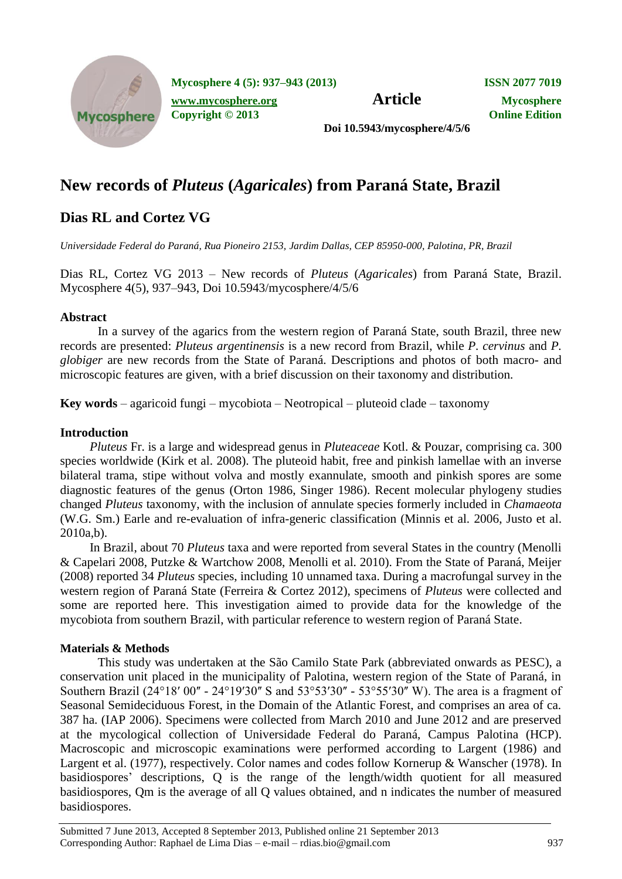

**Mycosphere 4 (5): 937–943 (2013) ISSN 2077 7019**

*[www.mycosphere.org](http://www.mycosphere.org/)* **<b>Article Mycosphere Copyright © 2013 Online Edition**

**Doi 10.5943/mycosphere/4/5/6**

# **New records of** *Pluteus* **(***Agaricales***) from Paraná State, Brazil**

## **Dias RL and Cortez VG**

*Universidade Federal do Paraná, Rua Pioneiro 2153, Jardim Dallas, CEP 85950-000, Palotina, PR, Brazil*

Dias RL, Cortez VG 2013 – New records of *Pluteus* (*Agaricales*) from Paraná State, Brazil. Mycosphere 4(5), 937–943, Doi 10.5943/mycosphere/4/5/6

## **Abstract**

In a survey of the agarics from the western region of Paraná State, south Brazil, three new records are presented: *Pluteus argentinensis* is a new record from Brazil, while *P. cervinus* and *P. globiger* are new records from the State of Paraná. Descriptions and photos of both macro- and microscopic features are given, with a brief discussion on their taxonomy and distribution.

**Key words** – agaricoid fungi – mycobiota – Neotropical – pluteoid clade – taxonomy

## **Introduction**

*Pluteus* Fr. is a large and widespread genus in *Pluteaceae* Kotl. & Pouzar, comprising ca. 300 species worldwide (Kirk et al. 2008). The pluteoid habit, free and pinkish lamellae with an inverse bilateral trama, stipe without volva and mostly exannulate, smooth and pinkish spores are some diagnostic features of the genus (Orton 1986, Singer 1986). Recent molecular phylogeny studies changed *Pluteus* taxonomy, with the inclusion of annulate species formerly included in *Chamaeota*  (W.G. Sm.) Earle and re-evaluation of infra-generic classification (Minnis et al. 2006, Justo et al. 2010a,b).

In Brazil, about 70 *Pluteus* taxa and were reported from several States in the country (Menolli & Capelari 2008, Putzke & Wartchow 2008, Menolli et al. 2010). From the State of Paraná, Meijer (2008) reported 34 *Pluteus* species, including 10 unnamed taxa. During a macrofungal survey in the western region of Paraná State (Ferreira & Cortez 2012), specimens of *Pluteus* were collected and some are reported here. This investigation aimed to provide data for the knowledge of the mycobiota from southern Brazil, with particular reference to western region of Paraná State.

## **Materials & Methods**

This study was undertaken at the São Camilo State Park (abbreviated onwards as PESC), a conservation unit placed in the municipality of Palotina, western region of the State of Paraná, in Southern Brazil (24°18′ 00" - 24°19′30" S and 53°53′30" - 53°55′30" W). The area is a fragment of Seasonal Semideciduous Forest, in the Domain of the Atlantic Forest, and comprises an area of ca. 387 ha. (IAP 2006). Specimens were collected from March 2010 and June 2012 and are preserved at the mycological collection of Universidade Federal do Paraná, Campus Palotina (HCP). Macroscopic and microscopic examinations were performed according to Largent (1986) and Largent et al. (1977), respectively. Color names and codes follow Kornerup & Wanscher (1978). In basidiospores' descriptions, Q is the range of the length/width quotient for all measured basidiospores, Qm is the average of all Q values obtained, and n indicates the number of measured basidiospores.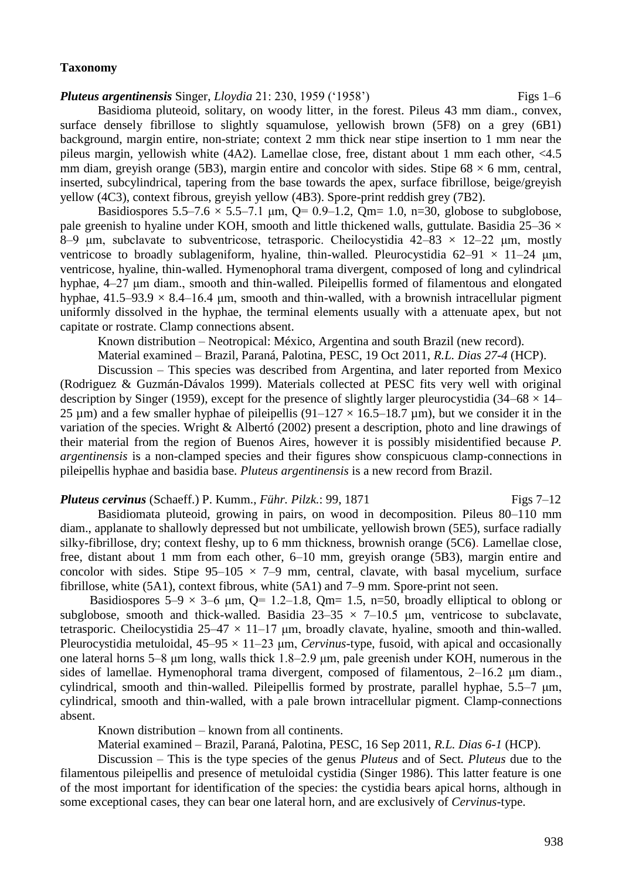#### **Taxonomy**

#### *Pluteus argentinensis Singer, Lloydia* 21: 230, 1959 ('1958') Figs 1–6

Basidioma pluteoid, solitary, on woody litter, in the forest. Pileus 43 mm diam., convex, surface densely fibrillose to slightly squamulose, yellowish brown (5F8) on a grey (6B1) background, margin entire, non-striate; context 2 mm thick near stipe insertion to 1 mm near the pileus margin, yellowish white (4A2). Lamellae close, free, distant about 1 mm each other, <4.5 mm diam, greyish orange (5B3), margin entire and concolor with sides. Stipe  $68 \times 6$  mm, central, inserted, subcylindrical, tapering from the base towards the apex, surface fibrillose, beige/greyish yellow (4C3), context fibrous, greyish yellow (4B3). Spore-print reddish grey (7B2).

Basidiospores  $5.5-7.6 \times 5.5-7.1$  µm, Q= 0.9–1.2, Qm= 1.0, n=30, globose to subglobose, pale greenish to hyaline under KOH, smooth and little thickened walls, guttulate. Basidia 25–36  $\times$ 8–9 μm, subclavate to subventricose, tetrasporic. Cheilocystidia  $42-83 \times 12-22$  μm, mostly ventricose to broadly sublageniform, hyaline, thin-walled. Pleurocystidia 62–91  $\times$  11–24  $\mu$ m, ventricose, hyaline, thin-walled. Hymenophoral trama divergent, composed of long and cylindrical hyphae, 4–27 um diam., smooth and thin-walled. Pileipellis formed of filamentous and elongated hyphae,  $41.5-93.9 \times 8.4-16.4$  µm, smooth and thin-walled, with a brownish intracellular pigment uniformly dissolved in the hyphae, the terminal elements usually with a attenuate apex, but not capitate or rostrate. Clamp connections absent.

Known distribution – Neotropical: México, Argentina and south Brazil (new record).

Material examined – Brazil, Paraná, Palotina, PESC, 19 Oct 2011, *R.L. Dias 27-4* (HCP).

Discussion – This species was described from Argentina, and later reported from Mexico (Rodriguez & Guzmán-Dávalos 1999). Materials collected at PESC fits very well with original description by Singer (1959), except for the presence of slightly larger pleurocystidia (34–68  $\times$  14– 25  $\mu$ m) and a few smaller hyphae of pileipellis (91–127  $\times$  16.5–18.7  $\mu$ m), but we consider it in the variation of the species. Wright & Albertó (2002) present a description, photo and line drawings of their material from the region of Buenos Aires, however it is possibly misidentified because *P. argentinensis* is a non-clamped species and their figures show conspicuous clamp-connections in pileipellis hyphae and basidia base. *Pluteus argentinensis* is a new record from Brazil.

*Pluteus cervinus (Schaeff.) P. Kumm., Führ. Pilzk.: 99, 1871* Figs 7–12

Basidiomata pluteoid, growing in pairs, on wood in decomposition. Pileus 80–110 mm diam., applanate to shallowly depressed but not umbilicate, yellowish brown (5E5), surface radially silky-fibrillose, dry; context fleshy, up to 6 mm thickness, brownish orange (5C6). Lamellae close, free, distant about 1 mm from each other, 6–10 mm, greyish orange (5B3), margin entire and concolor with sides. Stipe  $95-105 \times 7-9$  mm, central, clavate, with basal mycelium, surface fibrillose, white (5A1), context fibrous, white (5A1) and 7–9 mm. Spore-print not seen.

Basidiospores  $5-9 \times 3-6$  µm, Q= 1.2–1.8, Qm= 1.5, n=50, broadly elliptical to oblong or subglobose, smooth and thick-walled. Basidia  $23-35 \times 7-10.5$  μm, ventricose to subclavate, tetrasporic. Cheilocystidia  $25-47 \times 11-17$  µm, broadly clavate, hyaline, smooth and thin-walled. Pleurocystidia metuloidal,  $45-95 \times 11-23$  µm, *Cervinus*-type, fusoid, with apical and occasionally one lateral horns 5–8 μm long, walls thick 1.8–2.9 μm, pale greenish under KOH, numerous in the sides of lamellae. Hymenophoral trama divergent, composed of filamentous, 2–16.2 μm diam., cylindrical, smooth and thin-walled. Pileipellis formed by prostrate, parallel hyphae, 5.5–7 μm, cylindrical, smooth and thin-walled, with a pale brown intracellular pigment. Clamp-connections absent.

Known distribution – known from all continents.

Material examined – Brazil, Paraná, Palotina, PESC, 16 Sep 2011, *R.L. Dias 6-1* (HCP).

Discussion – This is the type species of the genus *Pluteus* and of Sect*. Pluteus* due to the filamentous pileipellis and presence of metuloidal cystidia (Singer 1986). This latter feature is one of the most important for identification of the species: the cystidia bears apical horns, although in some exceptional cases, they can bear one lateral horn, and are exclusively of *Cervinus*-type.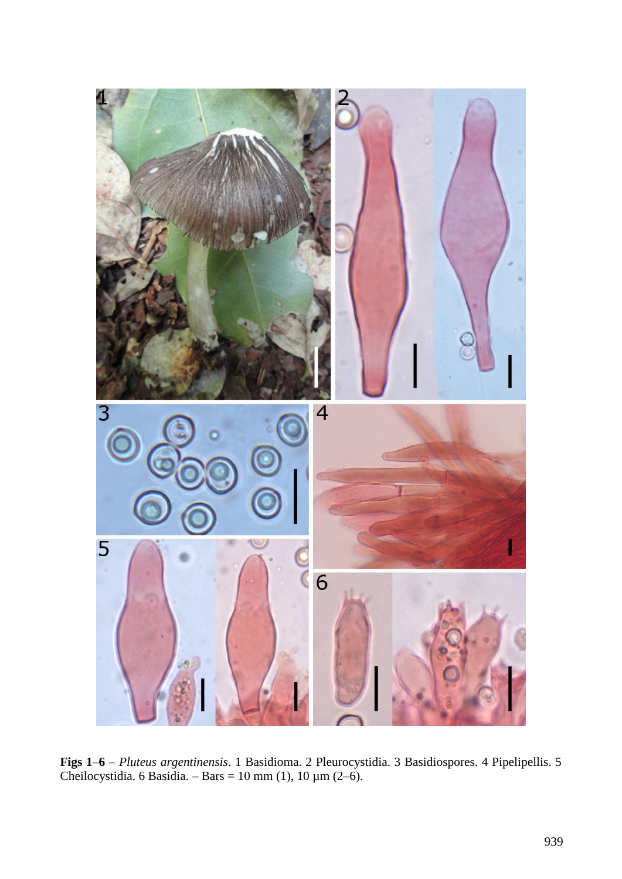

**Figs 1**–**6** – *Pluteus argentinensis*. 1 Basidioma. 2 Pleurocystidia. 3 Basidiospores. 4 Pipelipellis. 5 Cheilocystidia. 6 Basidia. – Bars = 10 mm (1), 10  $\mu$ m (2–6).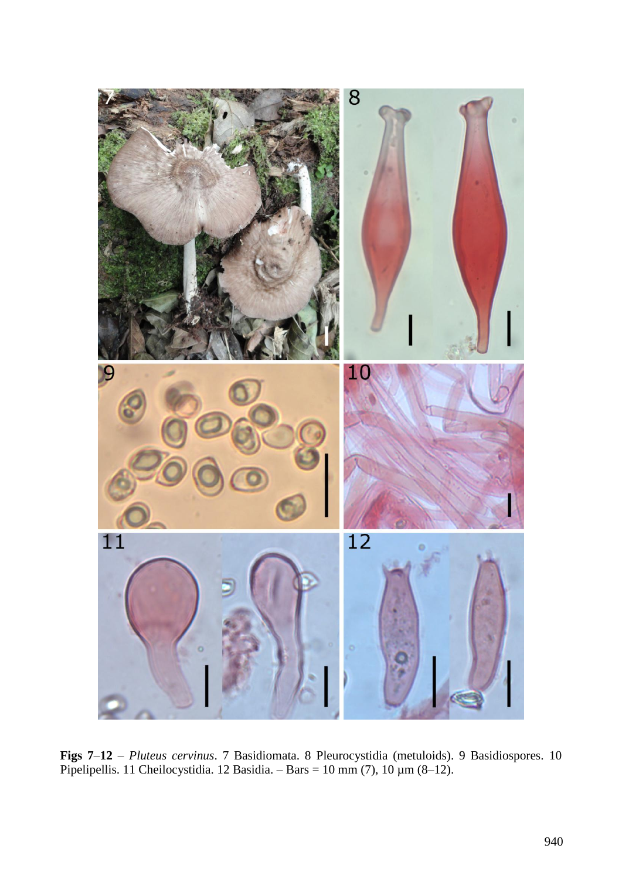

**Figs 7**–**12** – *Pluteus cervinus*. 7 Basidiomata. 8 Pleurocystidia (metuloids). 9 Basidiospores. 10 Pipelipellis. 11 Cheilocystidia. 12 Basidia. – Bars = 10 mm (7), 10  $\mu$ m (8–12).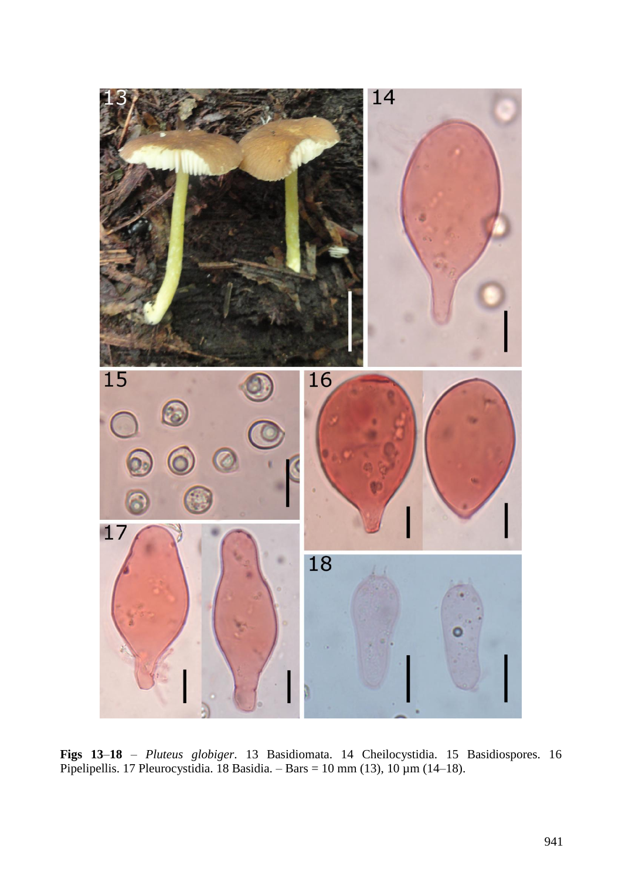

**Figs 13**–**18** – *Pluteus globiger*. 13 Basidiomata. 14 Cheilocystidia. 15 Basidiospores. 16 Pipelipellis. 17 Pleurocystidia. 18 Basidia. – Bars = 10 mm (13), 10 µm (14–18).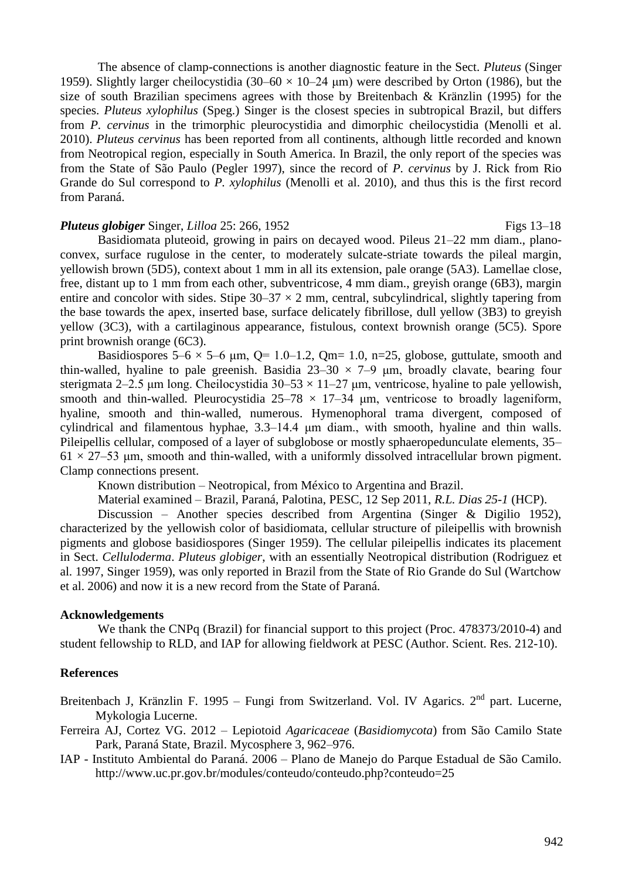The absence of clamp-connections is another diagnostic feature in the Sect. *Pluteus* (Singer 1959). Slightly larger cheilocystidia (30–60  $\times$  10–24 µm) were described by Orton (1986), but the size of south Brazilian specimens agrees with those by Breitenbach & Kränzlin (1995) for the species. *Pluteus xylophilus* (Speg.) Singer is the closest species in subtropical Brazil, but differs from *P. cervinus* in the trimorphic pleurocystidia and dimorphic cheilocystidia (Menolli et al. 2010). *Pluteus cervinus* has been reported from all continents, although little recorded and known from Neotropical region, especially in South America. In Brazil, the only report of the species was from the State of São Paulo (Pegler 1997), since the record of *P. cervinus* by J. Rick from Rio Grande do Sul correspond to *P. xylophilus* (Menolli et al. 2010), and thus this is the first record from Paraná.

#### *Pluteus globiger Singer, Lilloa 25: 266, 1952* **Figs 13–18** Figs 13–18

Basidiomata pluteoid, growing in pairs on decayed wood. Pileus 21–22 mm diam., planoconvex, surface rugulose in the center, to moderately sulcate-striate towards the pileal margin, yellowish brown (5D5), context about 1 mm in all its extension, pale orange (5A3). Lamellae close, free, distant up to 1 mm from each other, subventricose, 4 mm diam., greyish orange (6B3), margin entire and concolor with sides. Stipe  $30-37 \times 2$  mm, central, subcylindrical, slightly tapering from the base towards the apex, inserted base, surface delicately fibrillose, dull yellow (3B3) to greyish yellow (3C3), with a cartilaginous appearance, fistulous, context brownish orange (5C5). Spore print brownish orange (6C3).

Basidiospores  $5-6 \times 5-6$  µm, Q= 1.0–1.2, Qm= 1.0, n=25, globose, guttulate, smooth and thin-walled, hyaline to pale greenish. Basidia  $23-30 \times 7-9$  µm, broadly clavate, bearing four sterigmata 2–2.5 μm long. Cheilocystidia  $30-53 \times 11-27$  μm, ventricose, hyaline to pale yellowish, smooth and thin-walled. Pleurocystidia  $25-78 \times 17-34$  μm, ventricose to broadly lageniform, hyaline, smooth and thin-walled, numerous. Hymenophoral trama divergent, composed of cylindrical and filamentous hyphae, 3.3–14.4 μm diam., with smooth, hyaline and thin walls. Pileipellis cellular, composed of a layer of subglobose or mostly sphaeropedunculate elements, 35–  $61 \times 27-53$  µm, smooth and thin-walled, with a uniformly dissolved intracellular brown pigment. Clamp connections present.

Known distribution – Neotropical, from México to Argentina and Brazil.

Material examined – Brazil, Paraná, Palotina, PESC, 12 Sep 2011, *R.L. Dias 25-1* (HCP).

Discussion – Another species described from Argentina (Singer & Digilio 1952), characterized by the yellowish color of basidiomata, cellular structure of pileipellis with brownish pigments and globose basidiospores (Singer 1959). The cellular pileipellis indicates its placement in Sect. *Celluloderma*. *Pluteus globiger*, with an essentially Neotropical distribution (Rodriguez et al. 1997, Singer 1959), was only reported in Brazil from the State of Rio Grande do Sul (Wartchow et al. 2006) and now it is a new record from the State of Paraná.

#### **Acknowledgements**

We thank the CNPq (Brazil) for financial support to this project (Proc. 478373/2010-4) and student fellowship to RLD, and IAP for allowing fieldwork at PESC (Author. Scient. Res. 212-10).

#### **References**

Breitenbach J, Kränzlin F. 1995 – Fungi from Switzerland. Vol. IV Agarics.  $2<sup>nd</sup>$  part. Lucerne, Mykologia Lucerne.

- Ferreira AJ, Cortez VG. 2012 Lepiotoid *Agaricaceae* (*Basidiomycota*) from São Camilo State Park, Paraná State, Brazil. Mycosphere 3, 962–976.
- IAP Instituto Ambiental do Paraná. 2006 Plano de Manejo do Parque Estadual de São Camilo. http://www.uc.pr.gov.br/modules/conteudo/conteudo.php?conteudo=25